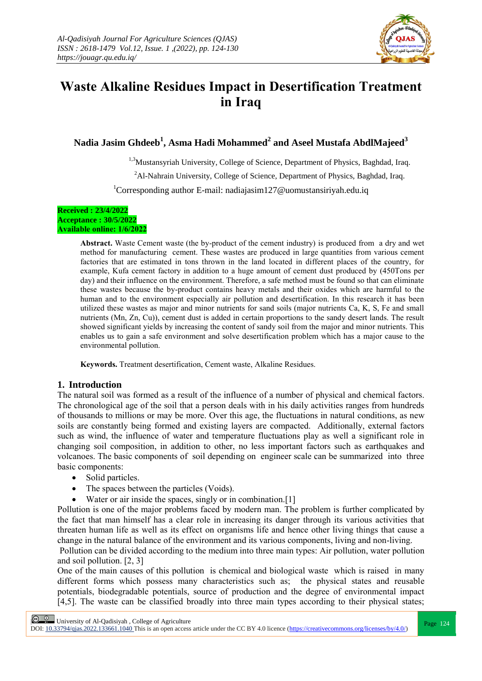

# **Waste Alkaline Residues Impact in Desertification Treatment in Iraq**

**Nadia Jasim Ghdeeb<sup>1</sup> , Asma Hadi Mohammed<sup>2</sup> and Aseel Mustafa AbdlMajeed<sup>3</sup>**

<sup>1,3</sup>Mustansyriah University, College of Science, Department of Physics, Baghdad, Iraq.

<sup>2</sup>Al-Nahrain University, College of Science, Department of Physics, Baghdad, Iraq.

<sup>1</sup>Corresponding author E-mail: nadiajasim127@uomustansiriyah.edu.iq

#### **Received : 23/4/2022 Acceptance : 30/5/2022 Available online: 1/6/2022**

**Abstract.** Waste Cement waste (the by-product of the cement industry) is produced from a dry and wet method for manufacturing cement. These wastes are produced in large quantities from various cement factories that are estimated in tons thrown in the land located in different places of the country, for example, Kufa cement factory in addition to a huge amount of cement dust produced by (450Tons per day) and their influence on the environment. Therefore, a safe method must be found so that can eliminate these wastes because the by-product contains heavy metals and their oxides which are harmful to the human and to the environment especially air pollution and desertification. In this research it has been utilized these wastes as major and minor nutrients for sand soils (major nutrients Ca, K, S, Fe and small nutrients (Mn, Zn, Cu)), cement dust is added in certain proportions to the sandy desert lands. The result showed significant yields by increasing the content of sandy soil from the major and minor nutrients. This enables us to gain a safe environment and solve desertification problem which has a major cause to the environmental pollution.

**Keywords.** Treatment desertification, Cement waste, Alkaline Residues.

## **1. Introduction**

The natural soil was formed as a result of the influence of a number of physical and chemical factors. The chronological age of the soil that a person deals with in his daily activities ranges from hundreds of thousands to millions or may be more. Over this age, the fluctuations in natural conditions, as new soils are constantly being formed and existing layers are compacted. Additionally, external factors such as wind, the influence of water and temperature fluctuations play as well a significant role in changing soil composition, in addition to other, no less important factors such as earthquakes and volcanoes. The basic components of soil depending on engineer scale can be summarized into three basic components:

- Solid particles.
- The spaces between the particles (Voids).
- Water or air inside the spaces, singly or in combination. [1]

Pollution is one of the major problems faced by modern man. The problem is further complicated by the fact that man himself has a clear role in increasing its danger through its various activities that threaten human life as well as its effect on organisms life and hence other living things that cause a change in the natural balance of the environment and its various components, living and non-living.

Pollution can be divided according to the medium into three main types: Air pollution, water pollution and soil pollution. [2, 3]

One of the main causes of this pollution is chemical and biological waste which is raised in many different forms which possess many characteristics such as; the physical states and reusable potentials, biodegradable potentials, source of production and the degree of environmental impact [4,5]. The waste can be classified broadly into three main types according to their physical states;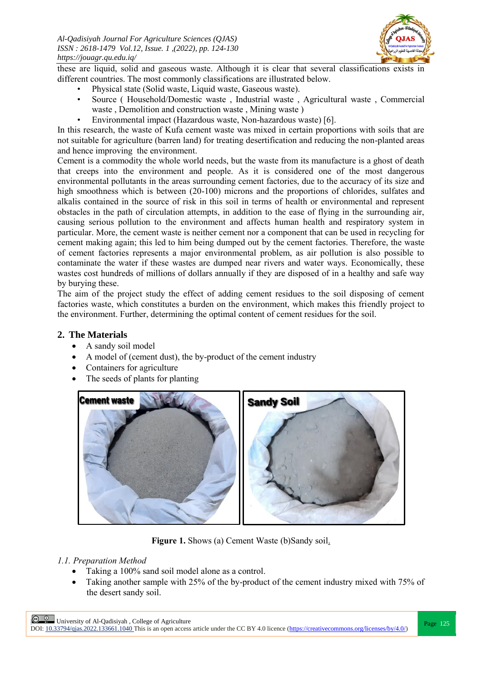

these are liquid, solid and gaseous waste. Although it is clear that several classifications exists in different countries. The most commonly classifications are illustrated below.

- Physical state (Solid waste, Liquid waste, Gaseous waste).
- Source ( Household/Domestic waste , Industrial waste , Agricultural waste , Commercial waste , Demolition and construction waste , Mining waste )
- Environmental impact (Hazardous waste, Non-hazardous waste) [6].

In this research, the waste of Kufa cement waste was mixed in certain proportions with soils that are not suitable for agriculture (barren land) for treating desertification and reducing the non-planted areas and hence improving the environment.

Cement is a commodity the whole world needs, but the waste from its manufacture is a ghost of death that creeps into the environment and people. As it is considered one of the most dangerous environmental pollutants in the areas surrounding cement factories, due to the accuracy of its size and high smoothness which is between (20-100) microns and the proportions of chlorides, sulfates and alkalis contained in the source of risk in this soil in terms of health or environmental and represent obstacles in the path of circulation attempts, in addition to the ease of flying in the surrounding air, causing serious pollution to the environment and affects human health and respiratory system in particular. More, the cement waste is neither cement nor a component that can be used in recycling for cement making again; this led to him being dumped out by the cement factories. Therefore, the waste of cement factories represents a major environmental problem, as air pollution is also possible to contaminate the water if these wastes are dumped near rivers and water ways. Economically, these wastes cost hundreds of millions of dollars annually if they are disposed of in a healthy and safe way by burying these.

The aim of the project study the effect of adding cement residues to the soil disposing of cement factories waste, which constitutes a burden on the environment, which makes this friendly project to the environment. Further, determining the optimal content of cement residues for the soil.

# **2. The Materials**

- A sandy soil model
- A model of (cement dust), the by-product of the cement industry
- Containers for agriculture
- The seeds of plants for planting



**Figure 1.** Shows (a) Cement Waste (b)Sandy soil.

## *1.1. Preparation Method*

- Taking a 100% sand soil model alone as a control.
- Taking another sample with 25% of the by-product of the cement industry mixed with 75% of the desert sandy soil.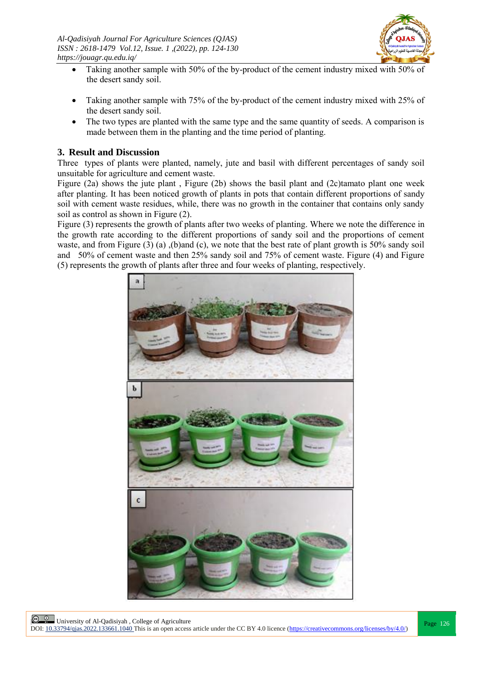

- Taking another sample with 50% of the by-product of the cement industry mixed with 50% of the desert sandy soil.
- Taking another sample with 75% of the by-product of the cement industry mixed with 25% of the desert sandy soil.
- The two types are planted with the same type and the same quantity of seeds. A comparison is made between them in the planting and the time period of planting.

## **3. Result and Discussion**

Three types of plants were planted, namely, jute and basil with different percentages of sandy soil unsuitable for agriculture and cement waste.

Figure (2a) shows the jute plant , Figure (2b) shows the basil plant and (2c)tamato plant one week after planting. It has been noticed growth of plants in pots that contain different proportions of sandy soil with cement waste residues, while, there was no growth in the container that contains only sandy soil as control as shown in Figure (2).

Figure (3) represents the growth of plants after two weeks of planting. Where we note the difference in the growth rate according to the different proportions of sandy soil and the proportions of cement waste, and from Figure (3) (a) ,(b)and (c), we note that the best rate of plant growth is 50% sandy soil and 50% of cement waste and then 25% sandy soil and 75% of cement waste. Figure (4) and Figure (5) represents the growth of plants after three and four weeks of planting, respectively.

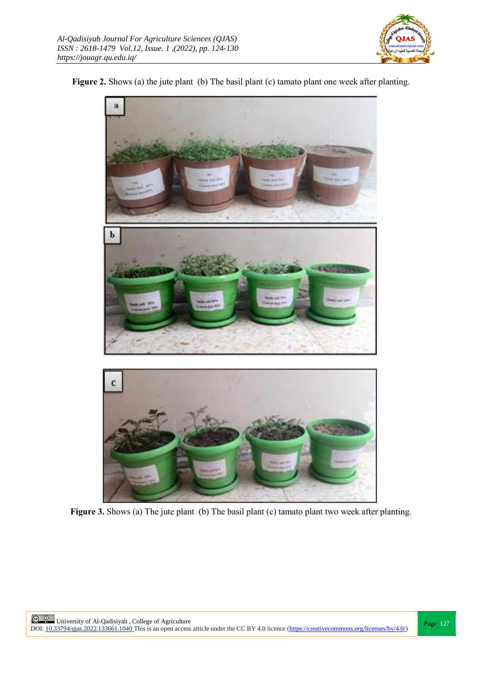

## Figure 2. Shows (a) the jute plant (b) The basil plant (c) tamato plant one week after planting.



Figure 3. Shows (a) The jute plant (b) The basil plant (c) tamato plant two week after planting.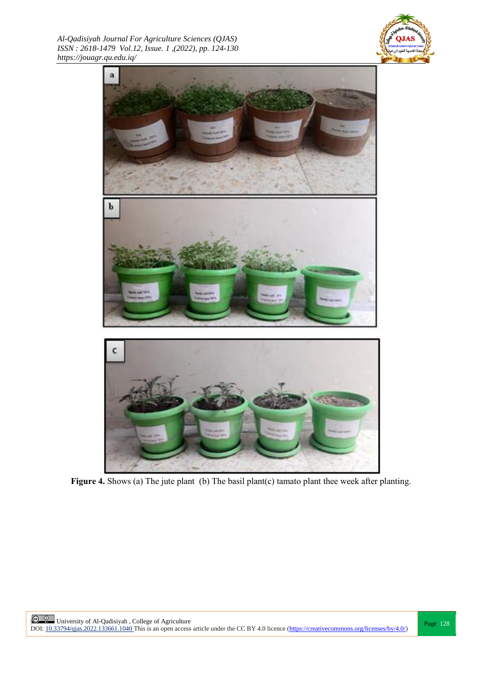*Al-Qadisiyah Journal For Agriculture Sciences (QJAS) ISSN : 2618-1479 Vol.12, Issue. 1 ,(2022), pp. 124-130 https://jouagr.qu.edu.iq/*





**Figure 4.** Shows (a) The jute plant (b) The basil plant(c) tamato plant thee week after planting.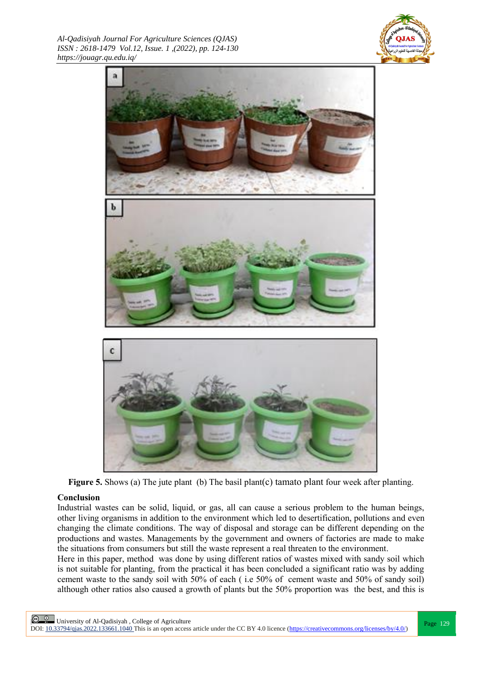*Al-Qadisiyah Journal For Agriculture Sciences (QJAS) ISSN : 2618-1479 Vol.12, Issue. 1 ,(2022), pp. 124-130 https://jouagr.qu.edu.iq/*





**Figure 5.** Shows (a) The jute plant (b) The basil plant(c) tamato plant four week after planting.

#### **Conclusion**

Industrial wastes can be solid, liquid, or gas, all can cause a serious problem to the human beings, other living organisms in addition to the environment which led to desertification, pollutions and even changing the climate conditions. The way of disposal and storage can be different depending on the productions and wastes. Managements by the government and owners of factories are made to make the situations from consumers but still the waste represent a real threaten to the environment.

Here in this paper, method was done by using different ratios of wastes mixed with sandy soil which is not suitable for planting, from the practical it has been concluded a significant ratio was by adding cement waste to the sandy soil with 50% of each ( i.e 50% of cement waste and 50% of sandy soil) although other ratios also caused a growth of plants but the 50% proportion was the best, and this is